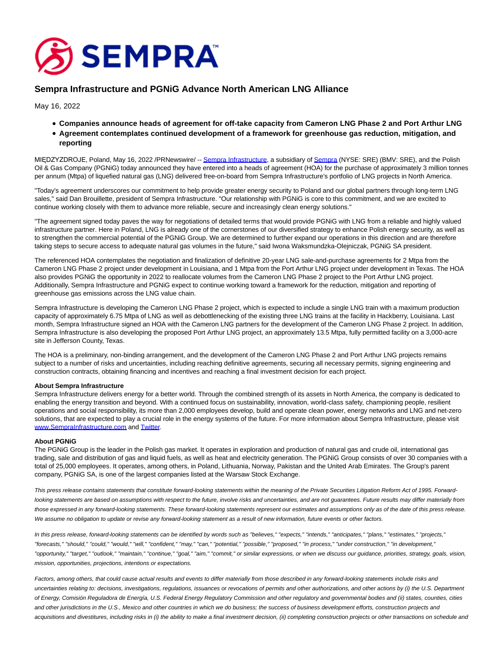

## **Sempra Infrastructure and PGNiG Advance North American LNG Alliance**

May 16, 2022

- **Companies announce heads of agreement for off-take capacity from Cameron LNG Phase 2 and Port Arthur LNG**
- **Agreement contemplates continued development of a framework for greenhouse gas reduction, mitigation, and reporting**

MIEDZYZDROJE, Poland, May 16, 2022 /PRNewswire/ -[- Sempra Infrastructure,](https://c212.net/c/link/?t=0&l=en&o=3537219-1&h=1107668691&u=https%3A%2F%2Fsemprainfrastructure.com%2F&a=Sempra+Infrastructure) a subsidiary of [Sempra \(](https://c212.net/c/link/?t=0&l=en&o=3537219-1&h=944798397&u=http%3A%2F%2Fwww.sempra.com%2F&a=Sempra)NYSE: SRE) (BMV: SRE), and the Polish Oil & Gas Company (PGNiG) today announced they have entered into a heads of agreement (HOA) for the purchase of approximately 3 million tonnes per annum (Mtpa) of liquefied natural gas (LNG) delivered free-on-board from Sempra Infrastructure's portfolio of LNG projects in North America.

"Today's agreement underscores our commitment to help provide greater energy security to Poland and our global partners through long-term LNG sales," said Dan Brouillette, president of Sempra Infrastructure. "Our relationship with PGNiG is core to this commitment, and we are excited to continue working closely with them to advance more reliable, secure and increasingly clean energy solutions."

"The agreement signed today paves the way for negotiations of detailed terms that would provide PGNiG with LNG from a reliable and highly valued infrastructure partner. Here in Poland, LNG is already one of the cornerstones of our diversified strategy to enhance Polish energy security, as well as to strengthen the commercial potential of the PGNiG Group. We are determined to further expand our operations in this direction and are therefore taking steps to secure access to adequate natural gas volumes in the future," said Iwona Waksmundzka-Olejniczak, PGNiG SA president.

The referenced HOA contemplates the negotiation and finalization of definitive 20-year LNG sale-and-purchase agreements for 2 Mtpa from the Cameron LNG Phase 2 project under development in Louisiana, and 1 Mtpa from the Port Arthur LNG project under development in Texas. The HOA also provides PGNiG the opportunity in 2022 to reallocate volumes from the Cameron LNG Phase 2 project to the Port Arthur LNG project. Additionally, Sempra Infrastructure and PGNiG expect to continue working toward a framework for the reduction, mitigation and reporting of greenhouse gas emissions across the LNG value chain.

Sempra Infrastructure is developing the Cameron LNG Phase 2 project, which is expected to include a single LNG train with a maximum production capacity of approximately 6.75 Mtpa of LNG as well as debottlenecking of the existing three LNG trains at the facility in Hackberry, Louisiana. Last month, Sempra Infrastructure signed an HOA with the Cameron LNG partners for the development of the Cameron LNG Phase 2 project. In addition, Sempra Infrastructure is also developing the proposed Port Arthur LNG project, an approximately 13.5 Mtpa, fully permitted facility on a 3,000-acre site in Jefferson County, Texas.

The HOA is a preliminary, non-binding arrangement, and the development of the Cameron LNG Phase 2 and Port Arthur LNG projects remains subject to a number of risks and uncertainties, including reaching definitive agreements, securing all necessary permits, signing engineering and construction contracts, obtaining financing and incentives and reaching a final investment decision for each project.

## **About Sempra Infrastructure**

Sempra Infrastructure delivers energy for a better world. Through the combined strength of its assets in North America, the company is dedicated to enabling the energy transition and beyond. With a continued focus on sustainability, innovation, world-class safety, championing people, resilient operations and social responsibility, its more than 2,000 employees develop, build and operate clean power, energy networks and LNG and net-zero solutions, that are expected to play a crucial role in the energy systems of the future. For more information about Sempra Infrastructure, please visit [www.SempraInfrastructure.com a](https://c212.net/c/link/?t=0&l=en&o=3537219-1&h=474081691&u=http%3A%2F%2Fwww.semprainfrastructure.com%2F&a=www.SempraInfrastructure.com)nd [Twitter.](https://c212.net/c/link/?t=0&l=en&o=3537219-1&h=66762641&u=https%3A%2F%2Ftwitter.com%2FSempraInfra&a=Twitter)

## **About PGNiG**

The PGNiG Group is the leader in the Polish gas market. It operates in exploration and production of natural gas and crude oil, international gas trading, sale and distribution of gas and liquid fuels, as well as heat and electricity generation. The PGNiG Group consists of over 30 companies with a total of 25,000 employees. It operates, among others, in Poland, Lithuania, Norway, Pakistan and the United Arab Emirates. The Group's parent company, PGNiG SA, is one of the largest companies listed at the Warsaw Stock Exchange.

This press release contains statements that constitute forward-looking statements within the meaning of the Private Securities Litigation Reform Act of 1995. Forwardlooking statements are based on assumptions with respect to the future, involve risks and uncertainties, and are not guarantees. Future results may differ materially from those expressed in any forward-looking statements. These forward-looking statements represent our estimates and assumptions only as of the date of this press release. We assume no obligation to update or revise any forward-looking statement as a result of new information, future events or other factors.

In this press release, forward-looking statements can be identified by words such as "believes," "expects," "intends," "anticipates," "plans," "estimates," "projects," "forecasts," "should," "could," "would," "will," "confident," "may," "can," "potential," "possible," "proposed," "in process," "under construction," "in development," "opportunity," "target," "outlook," "maintain," "continue," "goal," "aim," "commit," or similar expressions, or when we discuss our guidance, priorities, strategy, goals, vision, mission, opportunities, projections, intentions or expectations.

Factors, among others, that could cause actual results and events to differ materially from those described in any forward-looking statements include risks and uncertainties relating to: decisions, investigations, regulations, issuances or revocations of permits and other authorizations, and other actions by (i) the U.S. Department of Energy, Comisión Reguladora de Energía, U.S. Federal Energy Regulatory Commission and other regulatory and governmental bodies and (ii) states, counties, cities and other jurisdictions in the U.S., Mexico and other countries in which we do business; the success of business development efforts, construction projects and acquisitions and divestitures, including risks in (i) the ability to make a final investment decision, (ii) completing construction projects or other transactions on schedule and